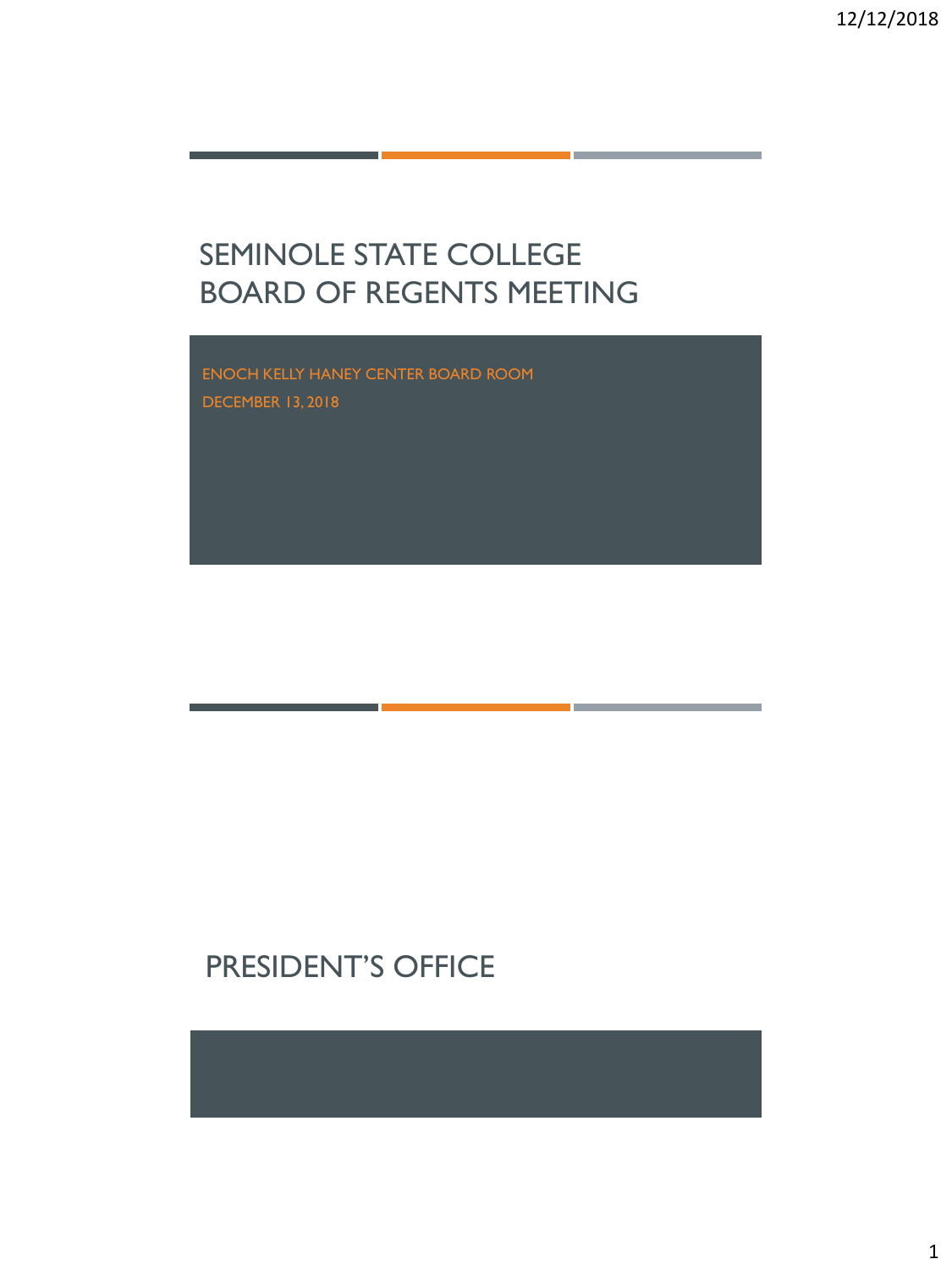# SEMINOLE STATE COLLEGE BOARD OF REGENTS MEETING

ENOCH KELLY HANEY CENTER BOARD ROOM DECEMBER 13, 2018

# PRESIDENT'S OFFICE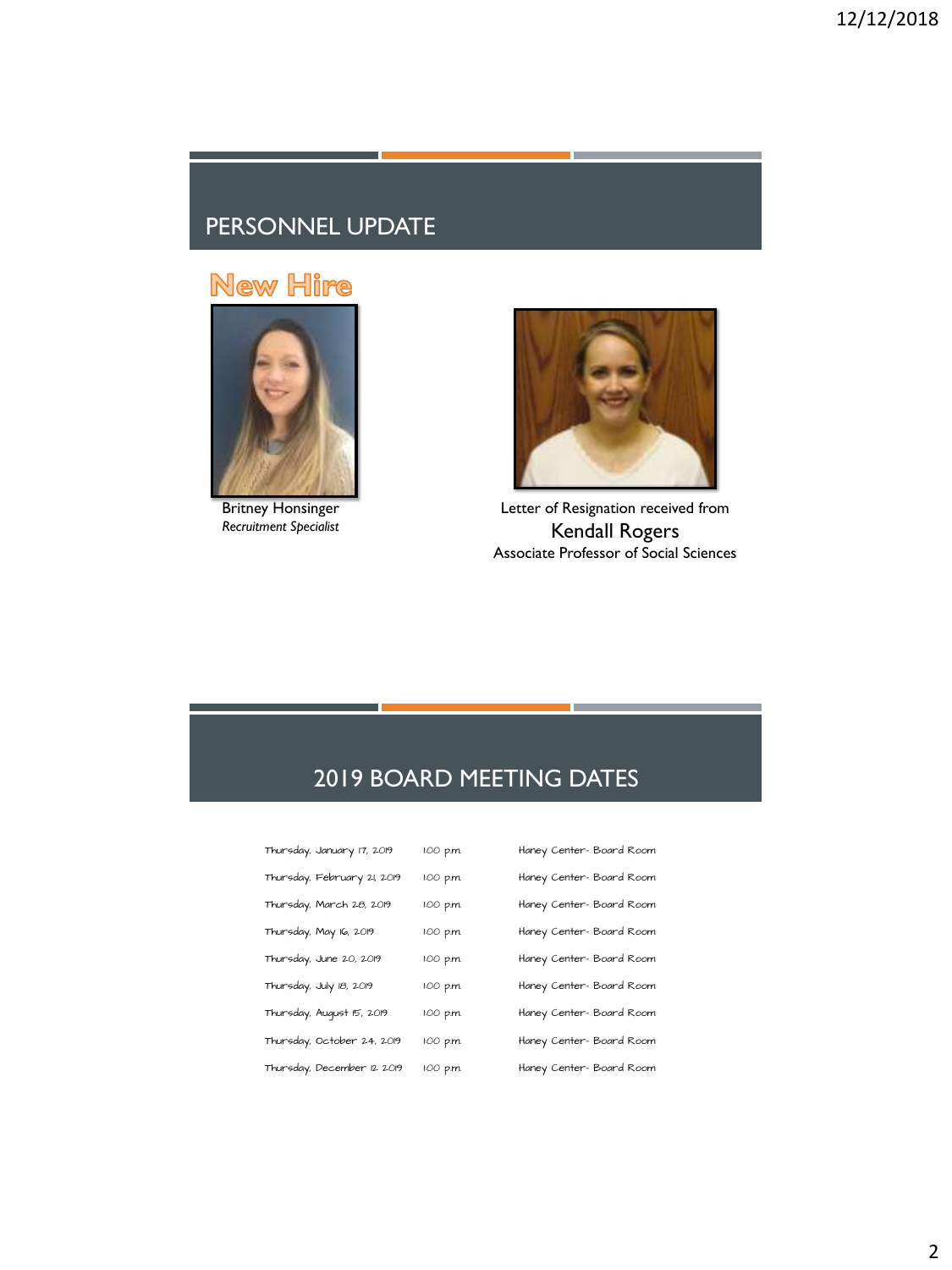#### PERSONNEL UPDATE

### **New Hire**



Britney Honsinger *Recruitment Specialist*



Letter of Resignation received from Kendall Rogers Associate Professor of Social Sciences

### 2019 BOARD MEETING DATES

| Thursday, January 17, 2019  | 1:00 p.m. | Haney Center- Board Room |
|-----------------------------|-----------|--------------------------|
| Thursday, February 21, 2019 | 1:00 p.m. | Haney Center- Board Room |
| Thursday, March 28, 2019    | 1:00 p.m. | Haney Center- Board Room |
| Thursday, May 16, 2019      | 1:00 p.m. | Haney Center- Board Room |
| Thursday, June 20, 2019     | 1:00 p.m. | Haney Center- Board Room |
| Thursday, July 18, 2019     | 1:00 p.m. | Haney Center- Board Room |
| Thursday, August 15, 2019   | 1:00 p.m. | Haney Center- Board Room |
| Thursday, October 24, 2019  | 1:00 p.m. | Haney Center-Board Room  |
| Thursday, December 12 2019  | 1:00 p.m. | Haney Center- Board Room |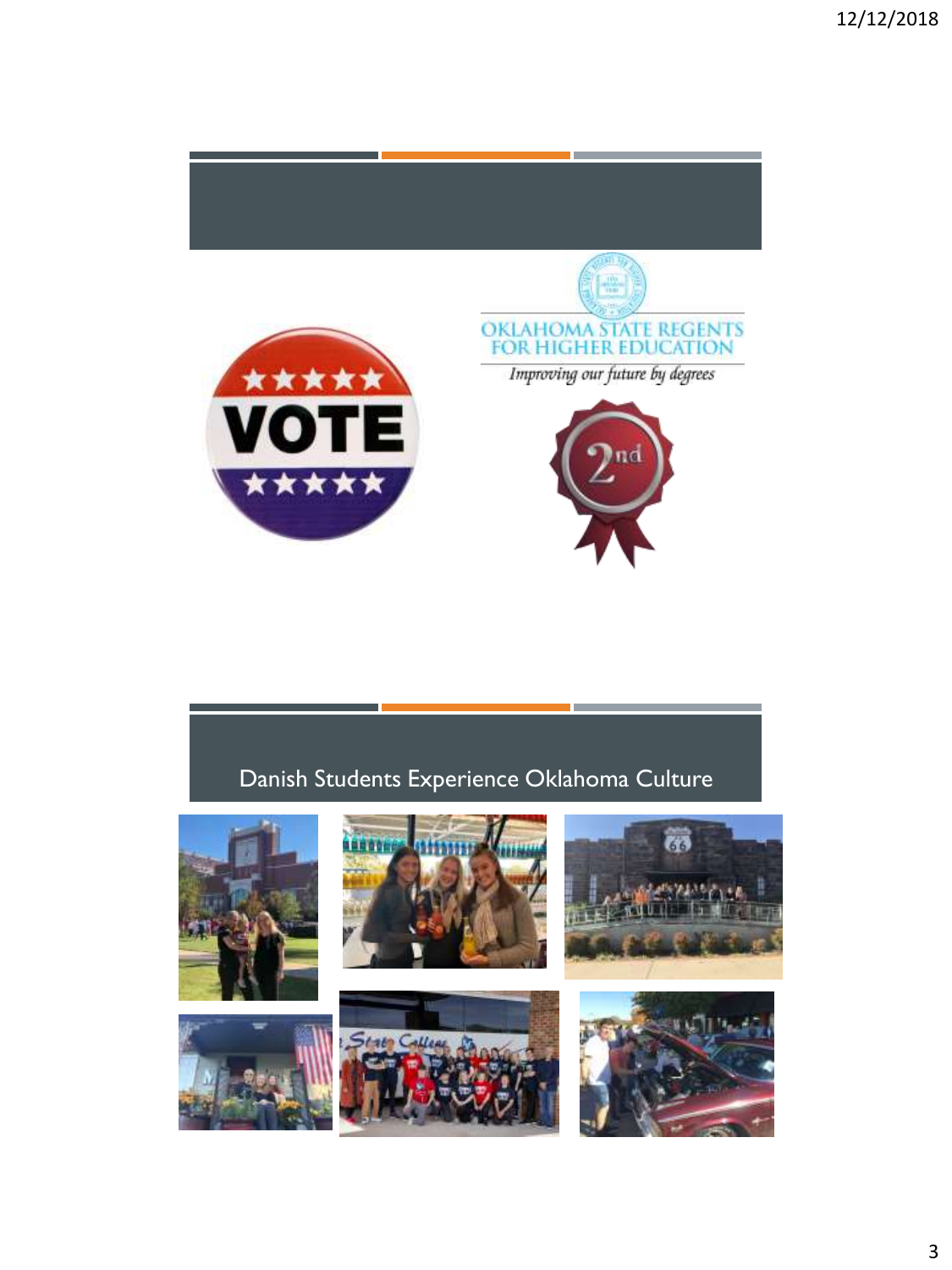

### Danish Students Experience Oklahoma Culture











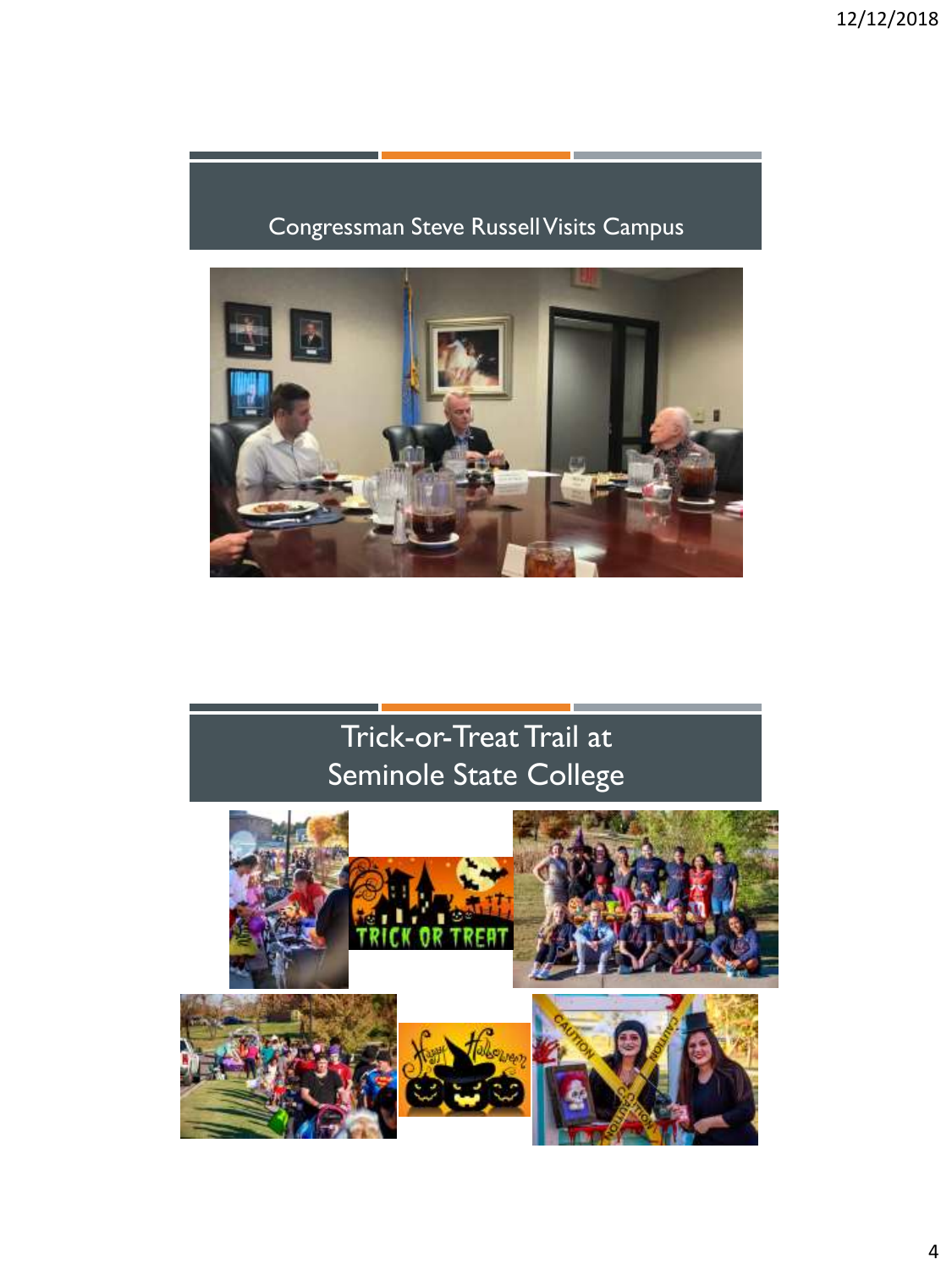### Congressman Steve Russell Visits Campus



# Trick-or-Treat Trail at Seminole State College

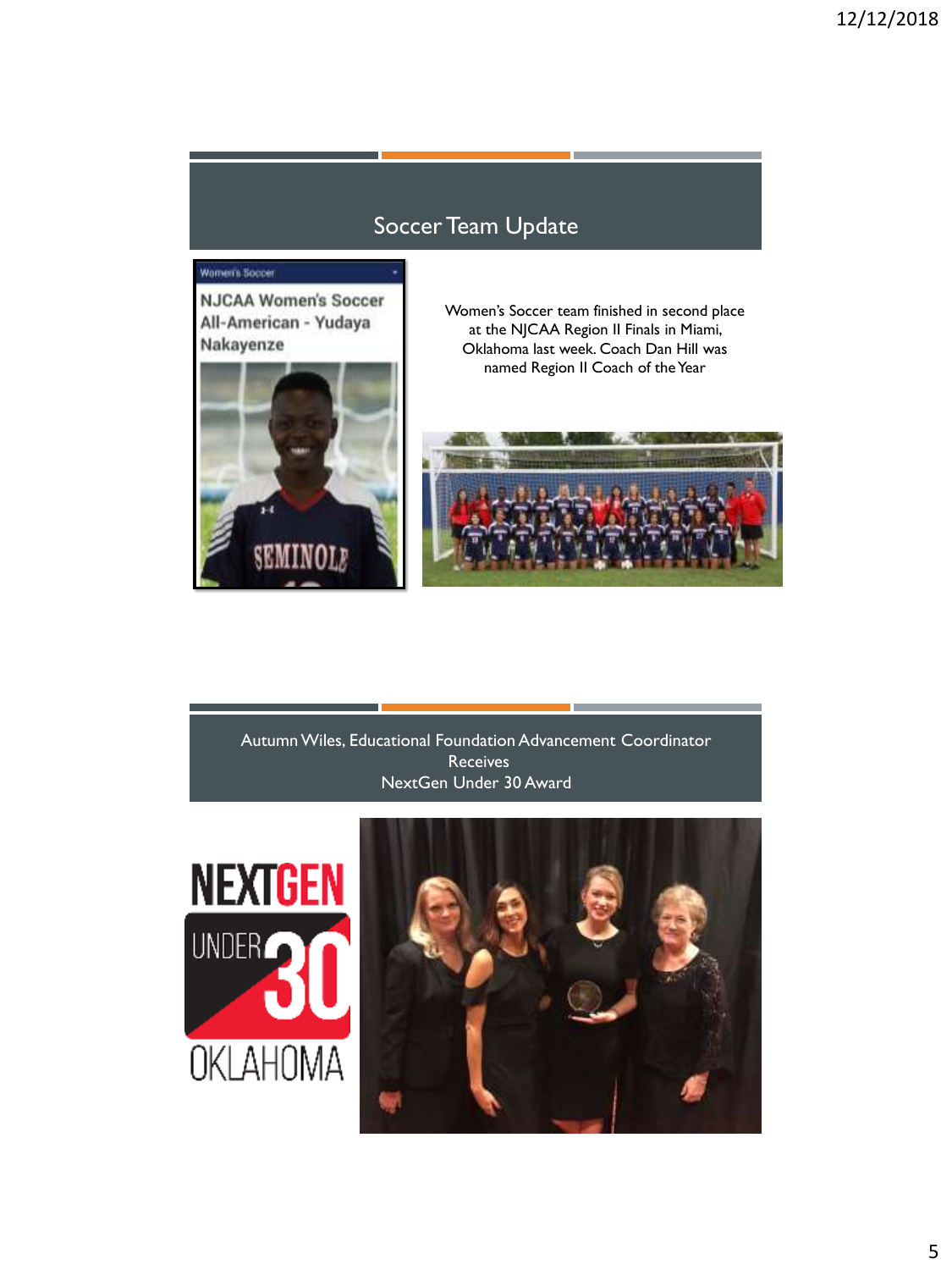#### Soccer Team Update

#### Women's Soccer

**NJCAA Women's Soccer** All-American - Yudaya Nakayenze



Women's Soccer team finished in second place at the NJCAA Region II Finals in Miami, Oklahoma last week. Coach Dan Hill was named Region II Coach of the Year



Autumn Wiles, Educational Foundation Advancement Coordinator **Receives** NextGen Under 30 Award



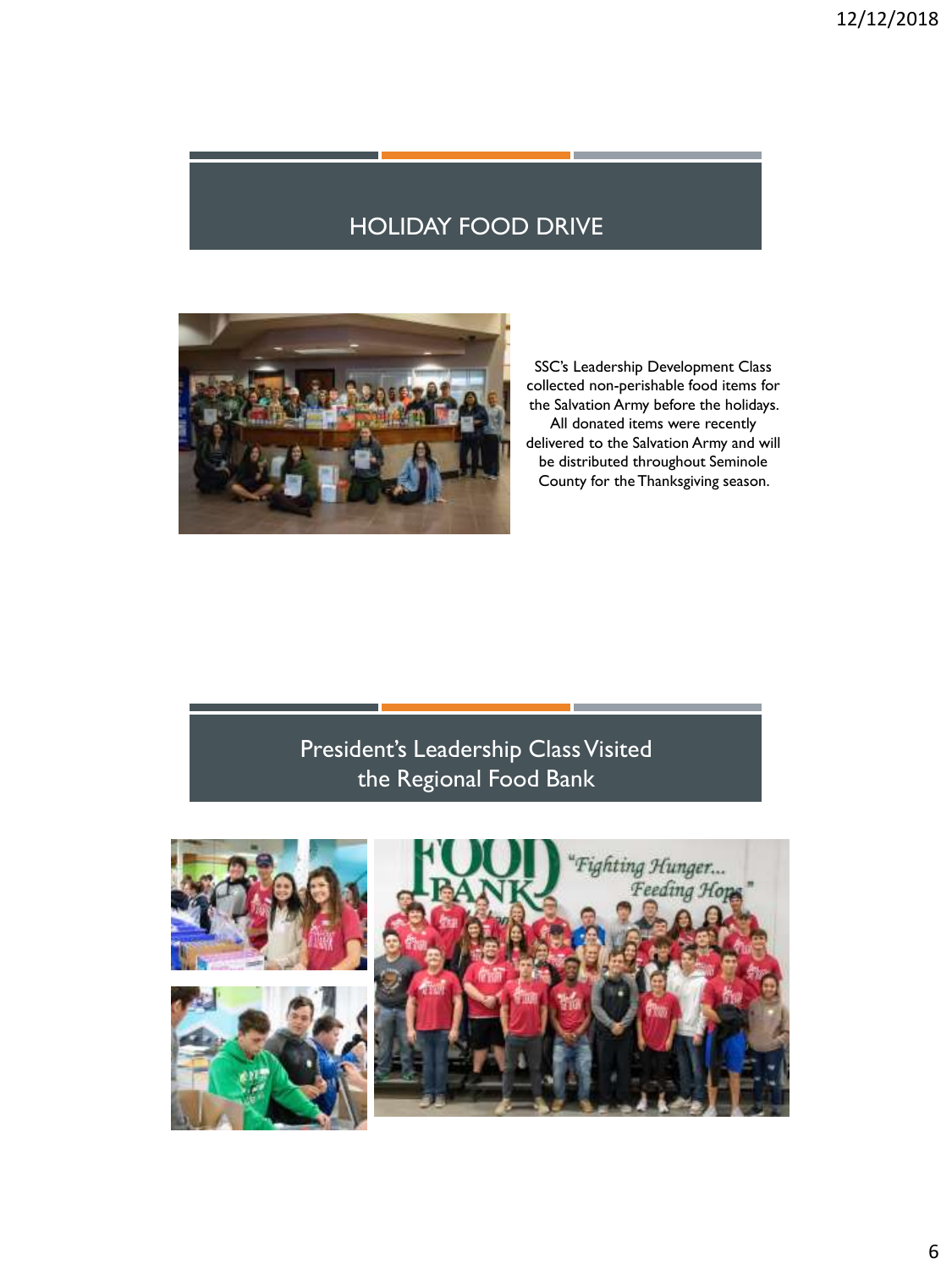#### HOLIDAY FOOD DRIVE



SSC's Leadership Development Class collected non-perishable food items for the Salvation Army before the holidays. All donated items were recently delivered to the Salvation Army and will be distributed throughout Seminole County for the Thanksgiving season.

#### President's Leadership Class Visited the Regional Food Bank

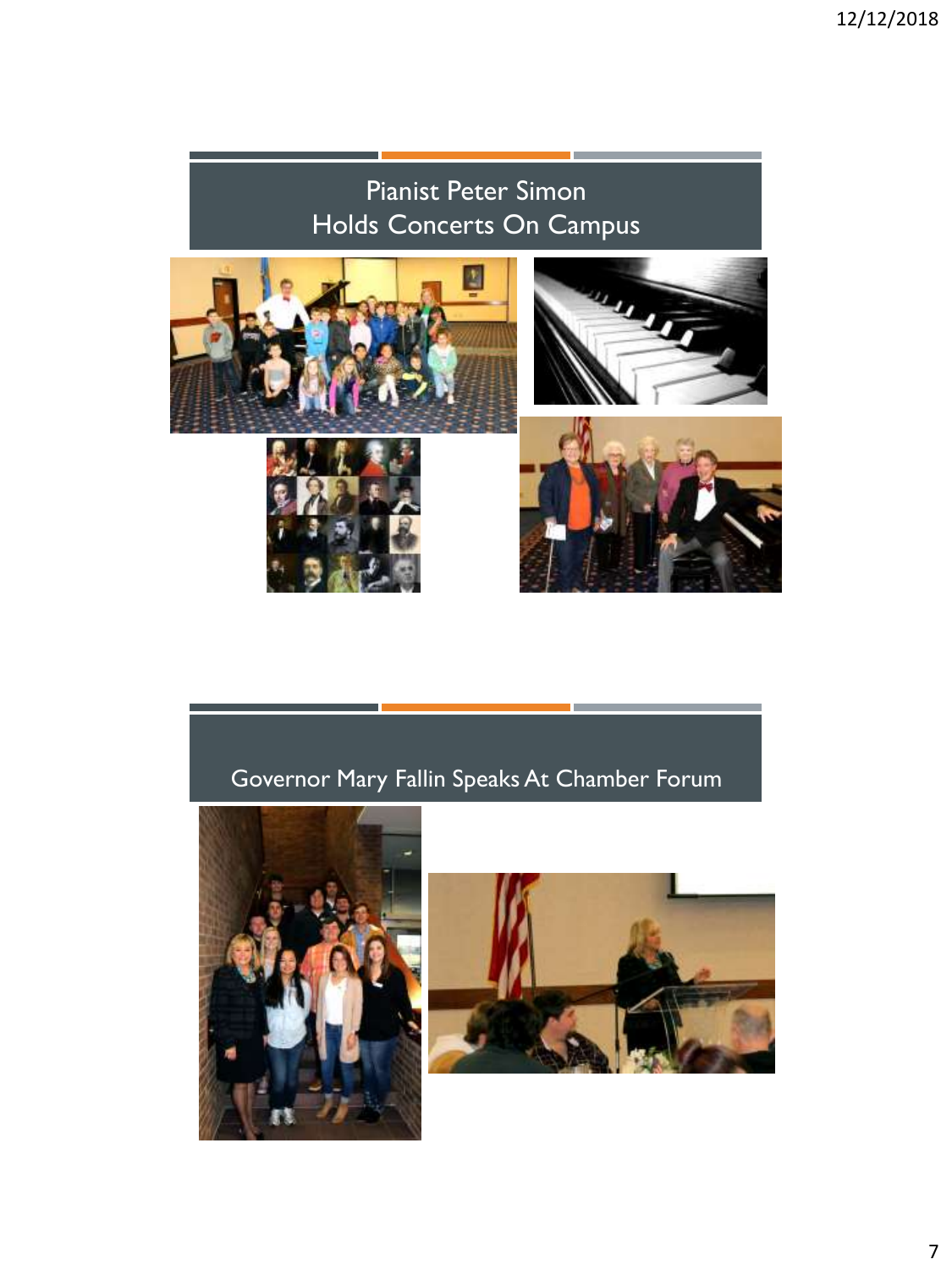# Pianist Peter Simon Holds Concerts On Campus









## Governor Mary Fallin Speaks At Chamber Forum



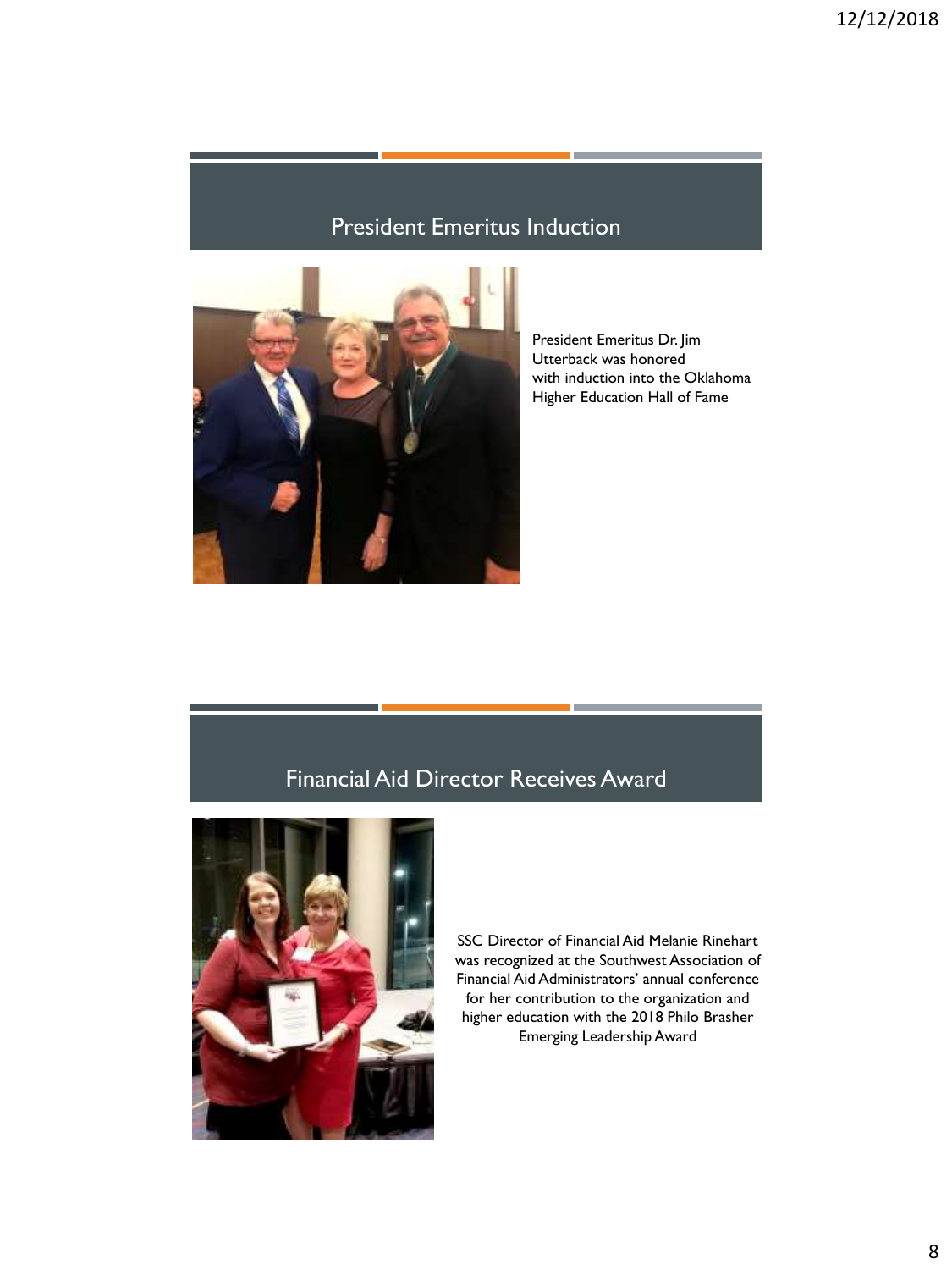### President Emeritus Induction



President Emeritus Dr. Jim Utterback was honored with induction into the Oklahoma Higher Education Hall of Fame

#### Financial Aid Director Receives Award



SSC Director of Financial Aid Melanie Rinehart was recognized at the Southwest Association of Financial Aid Administrators' annual conference for her contribution to the organization and higher education with the 2018 Philo Brasher Emerging Leadership Award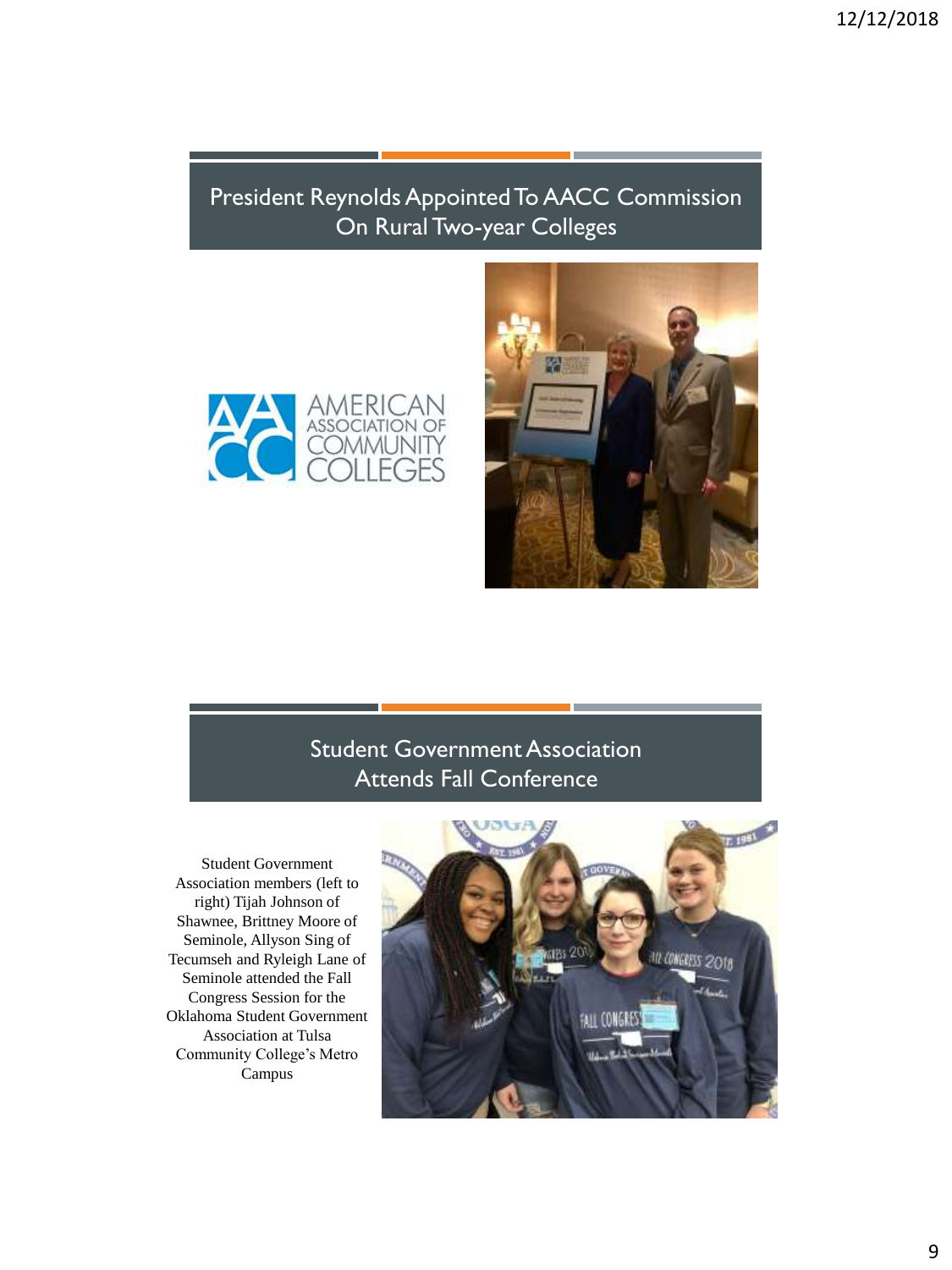#### President Reynolds Appointed To AACC Commission On Rural Two-year Colleges





#### Student Government Association Attends Fall Conference

Student Government Association members (left to right) Tijah Johnson of Shawnee, Brittney Moore of Seminole, Allyson Sing of Tecumseh and Ryleigh Lane of Seminole attended the Fall Congress Session for the Oklahoma Student Government Association at Tulsa Community College's Metro Campus

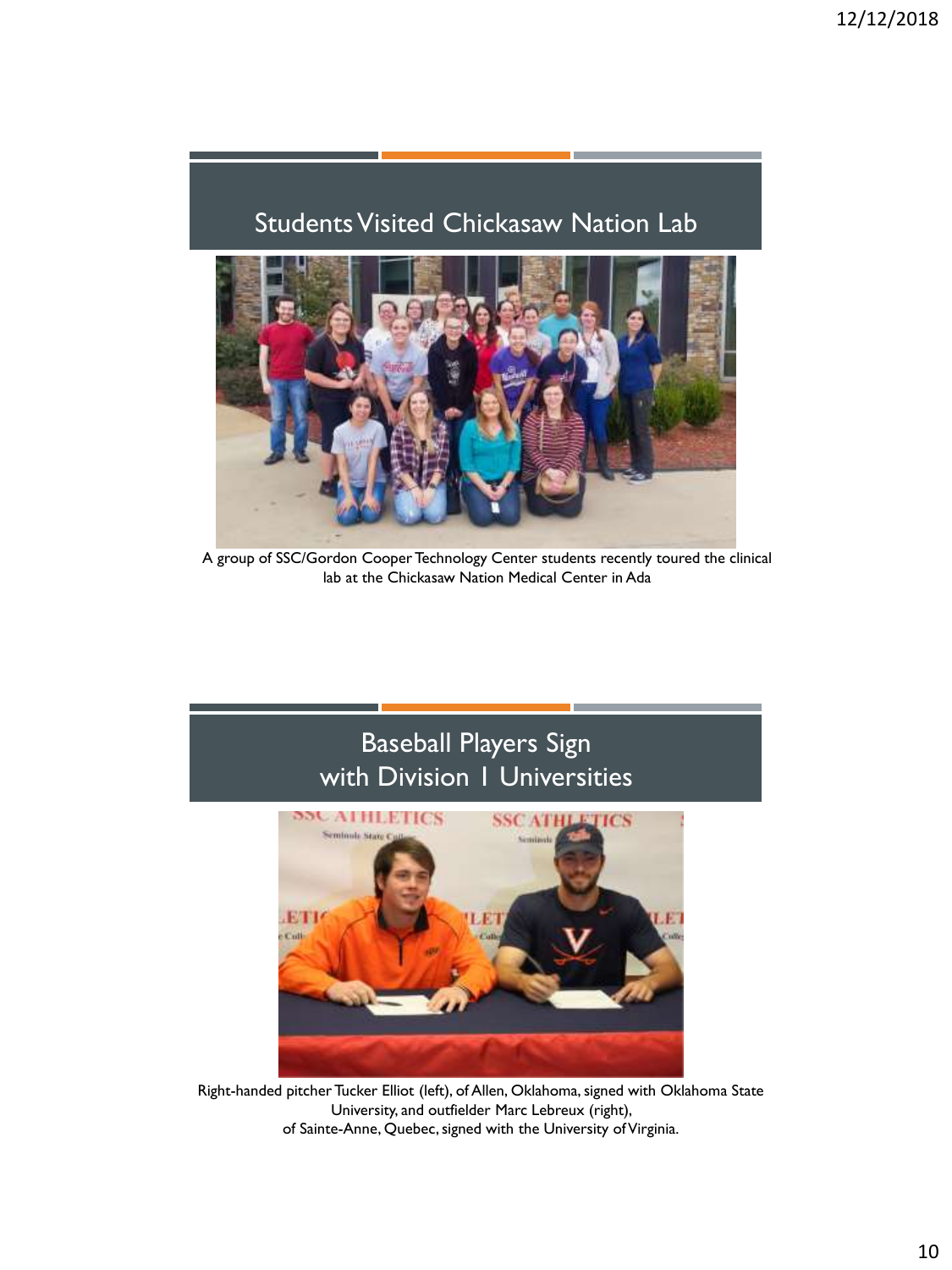#### Students Visited Chickasaw Nation Lab



A group of SSC/Gordon Cooper Technology Center students recently toured the clinical lab at the Chickasaw Nation Medical Center in Ada

### Baseball Players Sign with Division 1 Universities



Right-handed pitcher Tucker Elliot (left), of Allen, Oklahoma, signed with Oklahoma State University, and outfielder Marc Lebreux (right), of Sainte-Anne, Quebec, signed with the University of Virginia.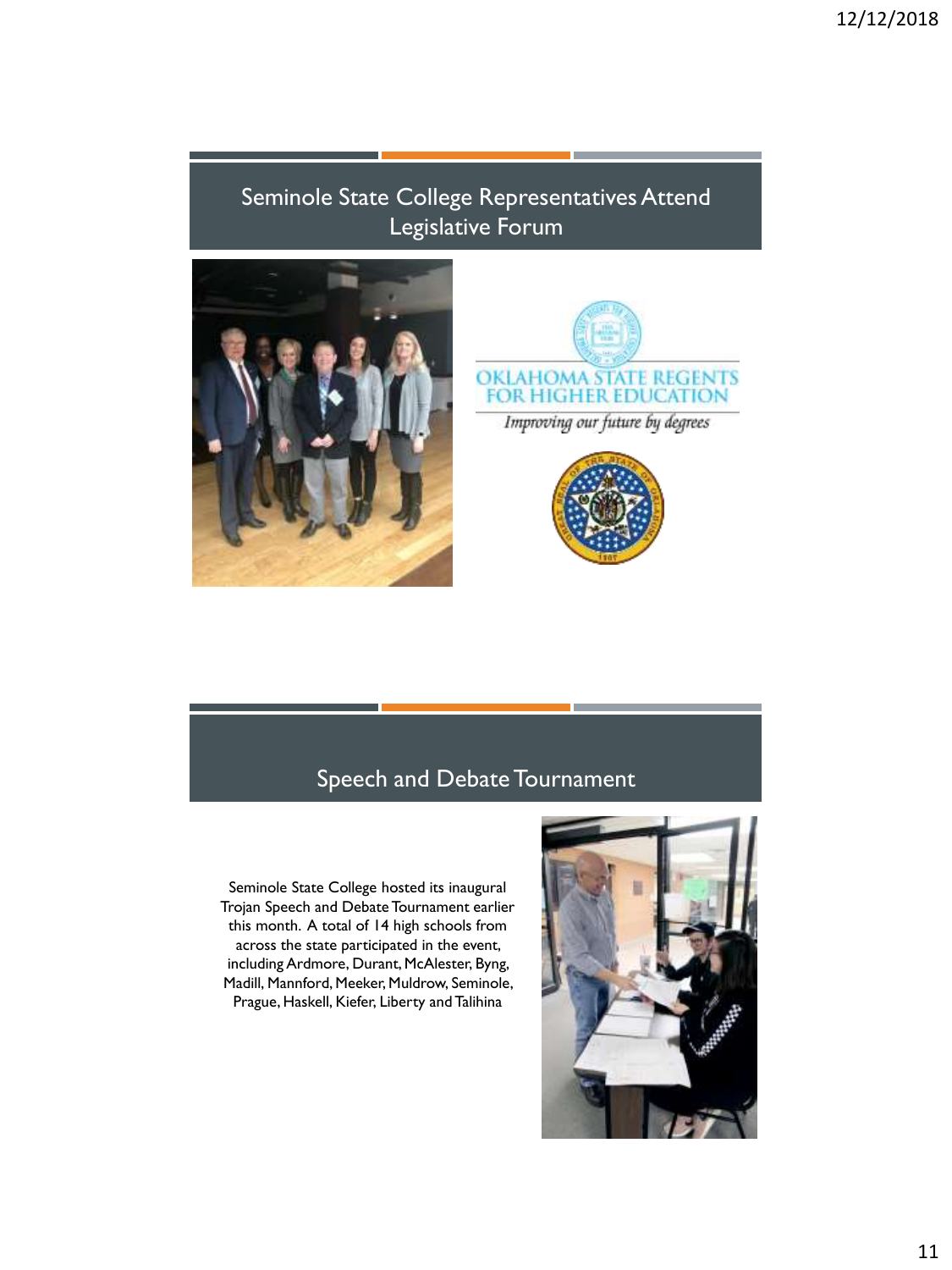#### Seminole State College Representatives Attend Legislative Forum







#### Speech and Debate Tournament

Seminole State College hosted its inaugural Trojan Speech and Debate Tournament earlier this month. A total of 14 high schools from across the state participated in the event, including Ardmore, Durant, McAlester, Byng, Madill, Mannford, Meeker, Muldrow, Seminole, Prague, Haskell, Kiefer, Liberty and Talihina

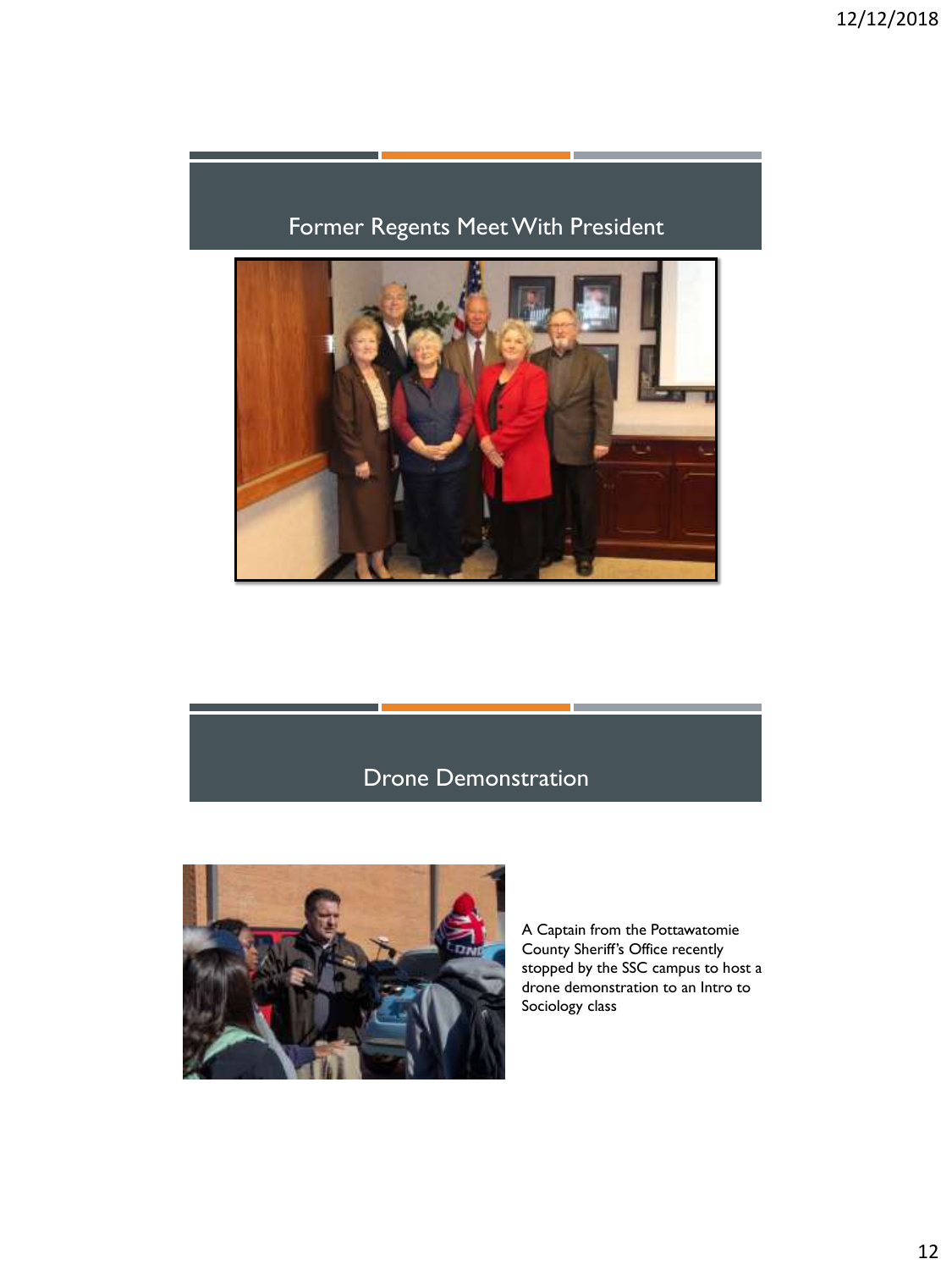### Former Regents Meet With President



#### Drone Demonstration



A Captain from the Pottawatomie County Sheriff's Office recently stopped by the SSC campus to host a drone demonstration to an Intro to Sociology class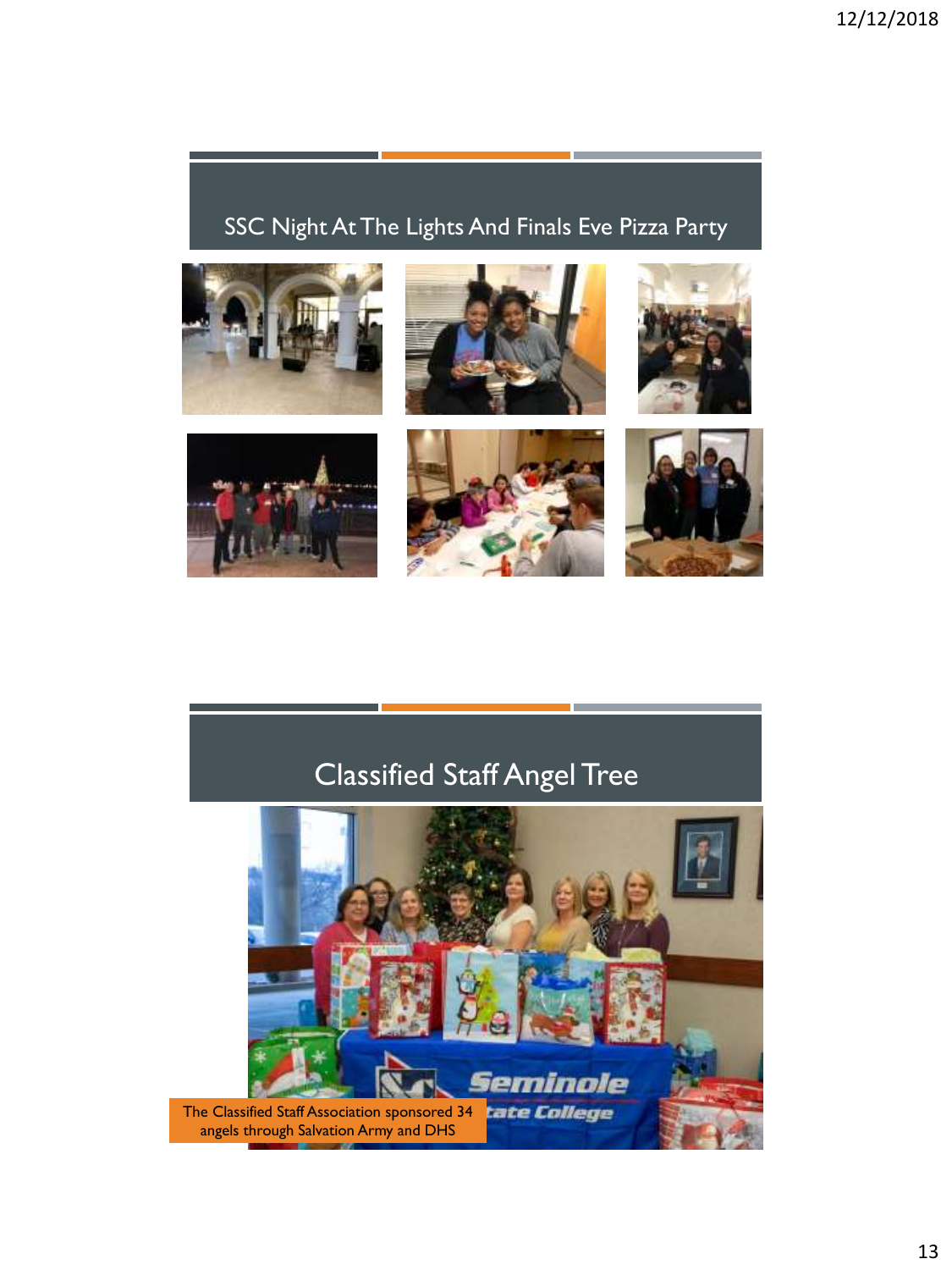## SSC Night At The Lights And Finals Eve Pizza Party



# Classified Staff Angel Tree

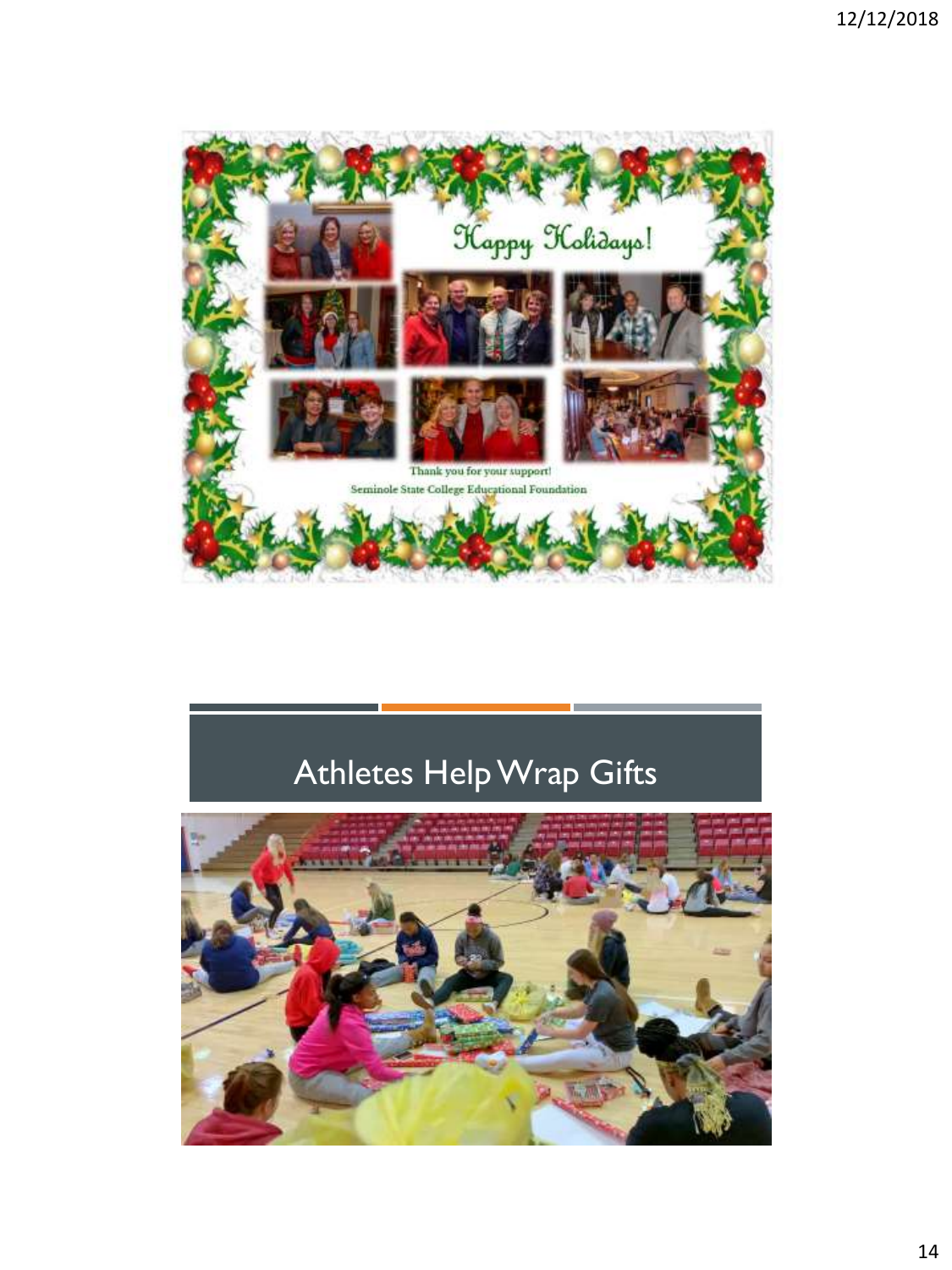

# Athletes Help Wrap Gifts

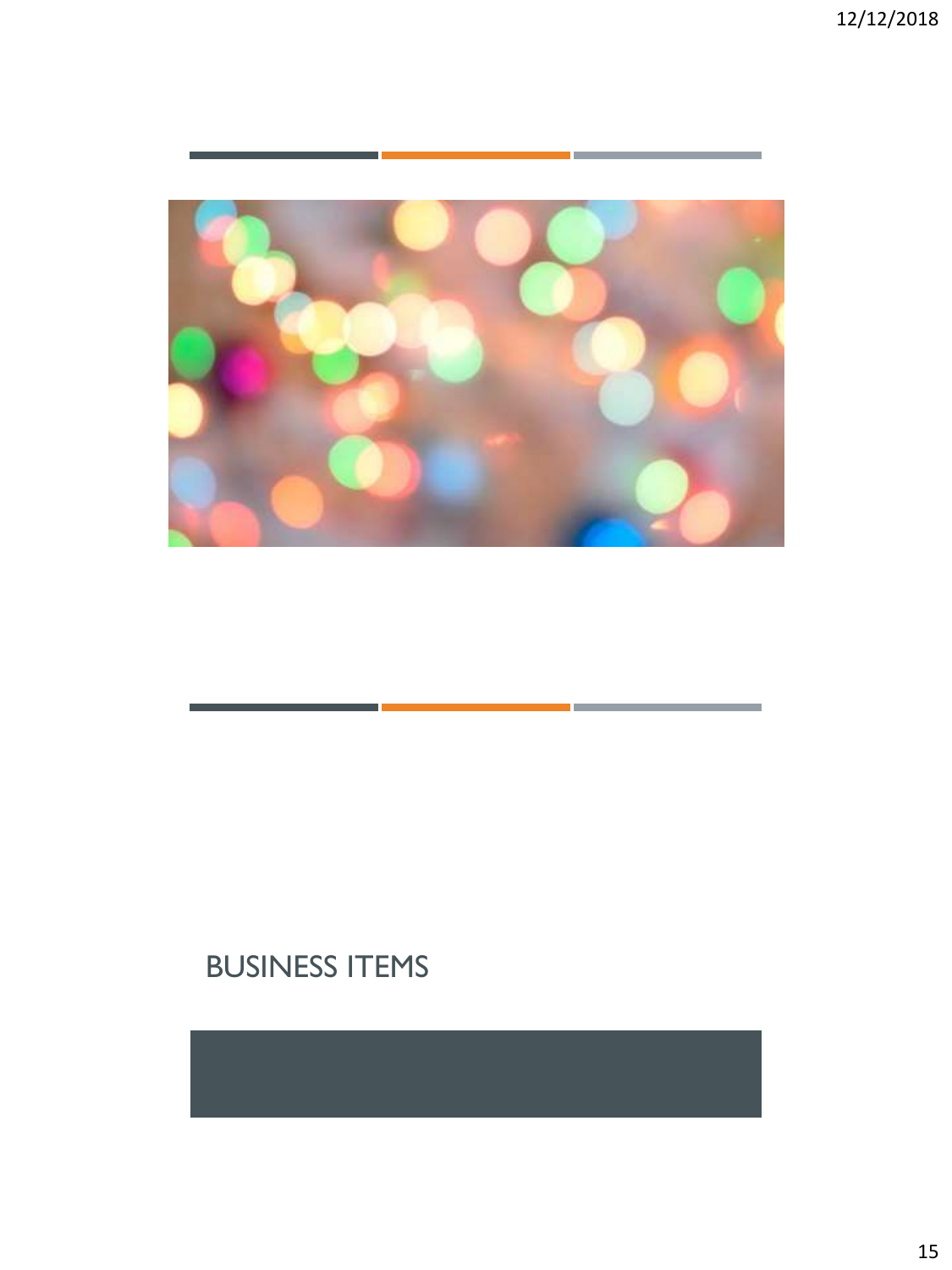

# BUSINESS ITEMS

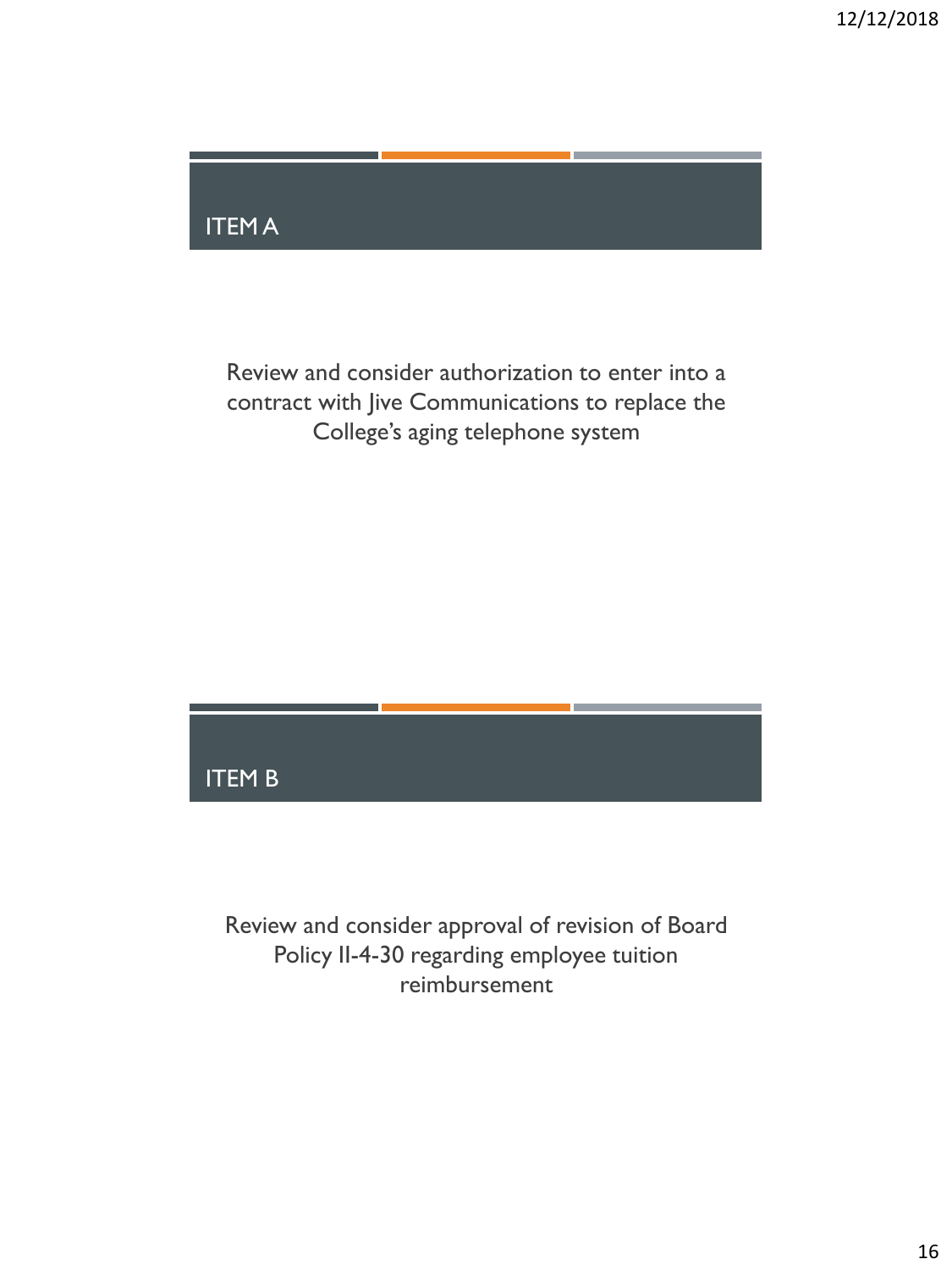

Review and consider authorization to enter into a contract with Jive Communications to replace the College's aging telephone system

#### ITEM B

Review and consider approval of revision of Board Policy II-4-30 regarding employee tuition reimbursement